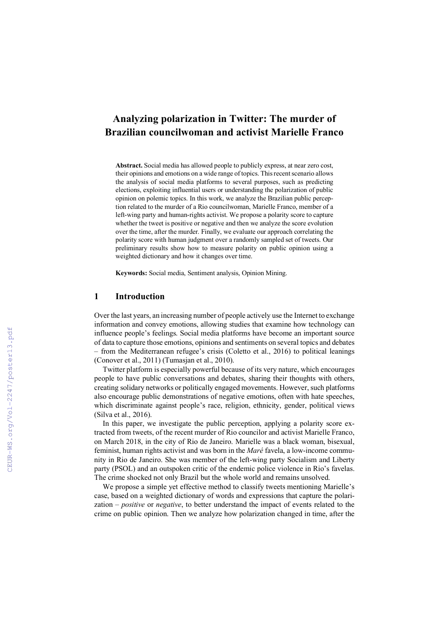# **Analyzing polarization in Twitter: The murder of Brazilian councilwoman and activist Marielle Franco**

**Abstract.** Social media has allowed people to publicly express, at near zero cost, their opinions and emotions on a wide range of topics. This recent scenario allows the analysis of social media platforms to several purposes, such as predicting elections, exploiting influential users or understanding the polarization of public opinion on polemic topics. In this work, we analyze the Brazilian public perception related to the murder of a Rio councilwoman, Marielle Franco, member of a left-wing party and human-rights activist. We propose a polarity score to capture whether the tweet is positive or negative and then we analyze the score evolution over the time, after the murder. Finally, we evaluate our approach correlating the polarity score with human judgment over a randomly sampled set of tweets. Our preliminary results show how to measure polarity on public opinion using a weighted dictionary and how it changes over time.

**Keywords:** Social media, Sentiment analysis, Opinion Mining.

## **1 Introduction**

Over the last years, an increasing number of people actively use the Internet to exchange information and convey emotions, allowing studies that examine how technology can influence people's feelings. Social media platforms have become an important source of data to capture those emotions, opinions and sentiments on several topics and debates – from the Mediterranean refugee's crisis (Coletto et al., 2016) to political leanings (Conover et al., 2011) (Tumasjan et al., 2010).

Twitter platform is especially powerful because of its very nature, which encourages people to have public conversations and debates, sharing their thoughts with others, creating solidary networks or politically engaged movements. However, such platforms also encourage public demonstrations of negative emotions, often with hate speeches, which discriminate against people's race, religion, ethnicity, gender, political views (Silva et al., 2016).

In this paper, we investigate the public perception, applying a polarity score extracted from tweets, of the recent murder of Rio councilor and activist Marielle Franco, on March 2018, in the city of Rio de Janeiro. Marielle was a black woman, bisexual, feminist, human rights activist and was born in the *Maré* favela, a low-income community in Rio de Janeiro. She was member of the left-wing party Socialism and Liberty party (PSOL) and an outspoken critic of the endemic police violence in Rio's favelas. The crime shocked not only Brazil but the whole world and remains unsolved.

We propose a simple yet effective method to classify tweets mentioning Marielle's case, based on a weighted dictionary of words and expressions that capture the polarization – *positive* or *negative*, to better understand the impact of events related to the crime on public opinion. Then we analyze how polarization changed in time, after the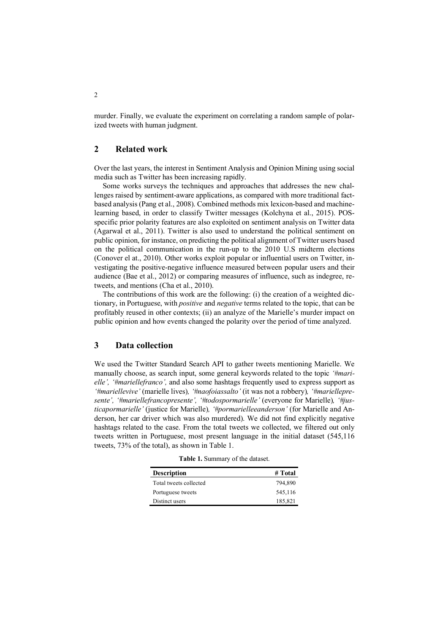murder. Finally, we evaluate the experiment on correlating a random sample of polarized tweets with human judgment.

# **2 Related work**

Over the last years, the interest in Sentiment Analysis and Opinion Mining using social media such as Twitter has been increasing rapidly.

Some works surveys the techniques and approaches that addresses the new challenges raised by sentiment-aware applications, as compared with more traditional factbased analysis (Pang et al., 2008). Combined methods mix lexicon-based and machinelearning based, in order to classify Twitter messages (Kolchyna et al., 2015). POSspecific prior polarity features are also exploited on sentiment analysis on Twitter data (Agarwal et al., 2011). Twitter is also used to understand the political sentiment on public opinion, for instance, on predicting the political alignment of Twitter users based on the political communication in the run-up to the 2010 U.S midterm elections (Conover el at., 2010). Other works exploit popular or influential users on Twitter, investigating the positive-negative influence measured between popular users and their audience (Bae et al., 2012) or comparing measures of influence, such as indegree, retweets, and mentions (Cha et al., 2010).

The contributions of this work are the following: (i) the creation of a weighted dictionary, in Portuguese, with *positive* and *negative* terms related to the topic, that can be profitably reused in other contexts; (ii) an analyze of the Marielle's murder impact on public opinion and how events changed the polarity over the period of time analyzed.

# **3 Data collection**

We used the Twitter Standard Search API to gather tweets mentioning Marielle. We manually choose, as search input, some general keywords related to the topic *'#marielle', '#mariellefranco',* and also some hashtags frequently used to express support as *'#mariellevive'* (marielle lives)*, '#naofoiassalto'* (it was not a robbery)*, '#mariellepresente', '#mariellefrancopresente', '#todospormarielle'* (everyone for Marielle)*, '#justicapormarielle'* (justice for Marielle)*, '#pormarielleeanderson'* (for Marielle and Anderson, her car driver which was also murdered). We did not find explicitly negative hashtags related to the case. From the total tweets we collected, we filtered out only tweets written in Portuguese, most present language in the initial dataset (545,116 tweets, 73% of the total), as shown in Table 1.

**Table 1.** Summary of the dataset.

| <b>Description</b>     | # Total |
|------------------------|---------|
| Total tweets collected | 794.890 |
| Portuguese tweets      | 545,116 |
| Distinct users         | 185,821 |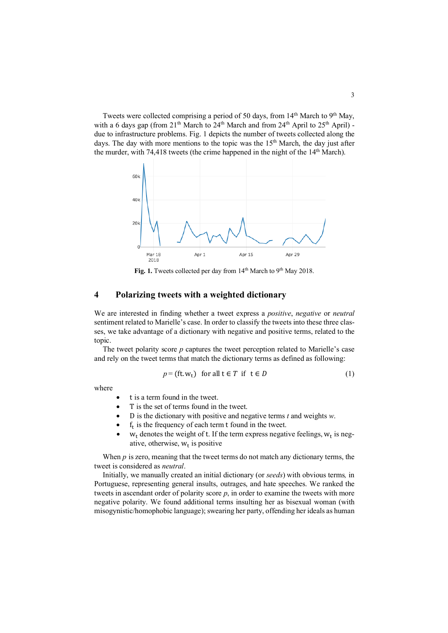Tweets were collected comprising a period of 50 days, from 14<sup>th</sup> March to 9<sup>th</sup> May, with a 6 days gap (from  $21<sup>th</sup>$  March to  $24<sup>th</sup>$  March and from  $24<sup>th</sup>$  April to  $25<sup>th</sup>$  April) due to infrastructure problems. Fig. 1 depicts the number of tweets collected along the days. The day with more mentions to the topic was the  $15<sup>th</sup>$  March, the day just after the murder, with 74,418 tweets (the crime happened in the night of the 14<sup>th</sup> March).



Fig. 1. Tweets collected per day from 14<sup>th</sup> March to 9<sup>th</sup> May 2018.

# **4 Polarizing tweets with a weighted dictionary**

We are interested in finding whether a tweet express a *positive*, *negative* or *neutral* sentiment related to Marielle's case. In order to classify the tweets into these three classes, we take advantage of a dictionary with negative and positive terms, related to the topic.

The tweet polarity score *p* captures the tweet perception related to Marielle's case and rely on the tweet terms that match the dictionary terms as defined as following:

$$
p = (\text{ft.w}_t) \quad \text{for all } t \in T \text{ if } t \in D \tag{1}
$$

where

- t is a term found in the tweet.
- T is the set of terms found in the tweet.
- D is the dictionary with positive and negative terms *t* and weights *w*.
- $\bullet$  f<sub>t</sub> is the frequency of each term t found in the tweet.
- $w_t$  denotes the weight of t. If the term express negative feelings,  $w_t$  is negative, otherwise,  $w_t$  is positive

When  $p$  is zero, meaning that the tweet terms do not match any dictionary terms, the tweet is considered as *neutral*.

Initially, we manually created an initial dictionary (or *seeds*) with obvious terms*,* in Portuguese, representing general insults, outrages, and hate speeches. We ranked the tweets in ascendant order of polarity score *p*, in order to examine the tweets with more negative polarity. We found additional terms insulting her as bisexual woman (with misogynistic/homophobic language); swearing her party, offending her ideals as human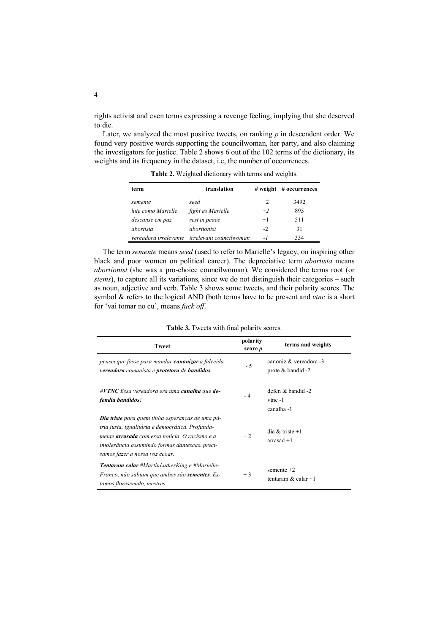rights activist and even terms expressing a revenge feeling, implying that she deserved to die.

Later, we analyzed the most positive tweets, on ranking *p* in descendent order. We found very positive words supporting the councilwoman, her party, and also claiming the investigators for justice. Table 2 shows 6 out of the 102 terms of the dictionary, its weights and its frequency in the dataset, i.e, the number of occurrences.

| term               | translation                                   | $#$ weight | # occurrences |
|--------------------|-----------------------------------------------|------------|---------------|
| semente            | seed                                          | $+2$       | 3492          |
| lute como Marielle | fight as Marielle                             | $+2$       | 895           |
| descanse em paz    | rest in peace                                 | $+1$       | 511           |
| <i>abortista</i>   | abortionist                                   | $-2$       | 31            |
|                    | vereadora irrelevante irrelevant councilwoman | - 1        | 334           |

**Table 2.** Weighted dictionary with terms and weights.

The term *semente* means *seed* (used to refer to Marielle's legacy, on inspiring other black and poor women on political career). The depreciative term *abortista* means *abortionist* (she was a pro-choice councilwoman). We considered the terms root (or *stems*), to capture all its variations, since we do not distinguish their categories – such as noun, adjective and verb. Table 3 shows some tweets, and their polarity scores. The symbol & refers to the logical AND (both terms have to be present and *vtnc* is a short for 'vai tomar no cu', means *fuck off*.

#### **Table 3.** Tweets with final polarity scores.

| <b>Tweet</b>                                                                                                                                                                                                                                       | polarity<br>score <i>p</i> | terms and weights                              |
|----------------------------------------------------------------------------------------------------------------------------------------------------------------------------------------------------------------------------------------------------|----------------------------|------------------------------------------------|
| pensei que fosse para mandar <b>canonizar</b> a falecida<br>vereadora comunista e protetora de bandidos.                                                                                                                                           | - 5                        | canoniz & vereadora -3<br>prote $&$ bandid -2  |
| $\#V TNC$ Essa vereadora era uma canalha que de-<br>fendia bandidos!                                                                                                                                                                               | $-4$                       | defen & bandid -2<br>$v$ tnc $-1$<br>canalha-1 |
| <b>Dia triste</b> para quem tinha esperanças de uma pá-<br>tria justa, igualitária e democrática. Profunda-<br>mente arrasada com essa notícia. O racismo e a<br>intolerância assumindo formas dantescas. preci-<br>samos fazer a nossa voz ecoar. | $+2$                       | dia $&$ triste +1<br>$arrasad + 1$             |
| <b>Tentaram calar</b> #MartinLutherKing e #Marielle-<br>Franco, não sabiam que ambos são sementes. Es-<br>tamos florescendo, mestres                                                                                                               | $+3$                       | semente $+2$<br>tentaram $\&$ calar +1         |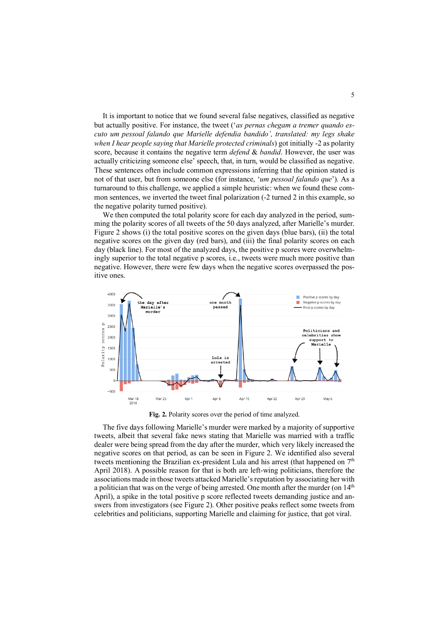It is important to notice that we found several false negatives, classified as negative but actually positive. For instance, the tweet ('*as pernas chegam a tremer quando escuto um pessoal falando que Marielle defendia bandido', translated: my legs shake when I hear people saying that Marielle protected criminals*) got initially -2 as polarity score, because it contains the negative term *defend* & *bandid*. However, the user was actually criticizing someone else' speech, that, in turn, would be classified as negative. These sentences often include common expressions inferring that the opinion stated is not of that user, but from someone else (for instance, '*um pessoal falando que*'). As a turnaround to this challenge, we applied a simple heuristic: when we found these common sentences, we inverted the tweet final polarization (-2 turned 2 in this example, so the negative polarity turned positive).

We then computed the total polarity score for each day analyzed in the period, summing the polarity scores of all tweets of the 50 days analyzed, after Marielle's murder. Figure 2 shows (i) the total positive scores on the given days (blue bars), (ii) the total negative scores on the given day (red bars), and (iii) the final polarity scores on each day (black line). For most of the analyzed days, the positive p scores were overwhelmingly superior to the total negative p scores, i.e., tweets were much more positive than negative. However, there were few days when the negative scores overpassed the positive ones.



**Fig. 2.** Polarity scores over the period of time analyzed.

The five days following Marielle's murder were marked by a majority of supportive tweets, albeit that several fake news stating that Marielle was married with a traffic dealer were being spread from the day after the murder, which very likely increased the negative scores on that period, as can be seen in Figure 2. We identified also several tweets mentioning the Brazilian ex-president Lula and his arrest (that happened on  $7<sup>th</sup>$ April 2018). A possible reason for that is both are left-wing politicians, therefore the associations made in those tweets attacked Marielle's reputation by associating her with a politician that was on the verge of being arrested. One month after the murder (on  $14<sup>th</sup>$ April), a spike in the total positive p score reflected tweets demanding justice and answers from investigators (see Figure 2). Other positive peaks reflect some tweets from celebrities and politicians, supporting Marielle and claiming for justice, that got viral.